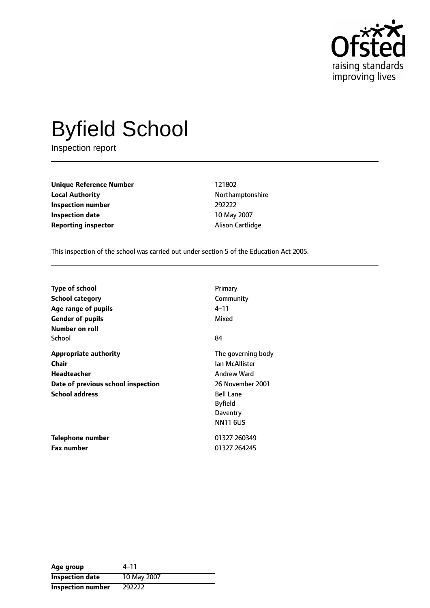

# Byfield School

Inspection report

**Unique Reference Number** 121802 **Local Authority Northamptonshire Inspection number** 292222 **Inspection date** 10 May 2007 **Reporting inspector Alison Cartlidge** 

This inspection of the school was carried out under section 5 of the Education Act 2005.

| <b>Type of school</b><br><b>School category</b><br>Age range of pupils<br><b>Gender of pupils</b><br>Number on roll | Primary<br>Community<br>$4 - 11$<br>Mixed                                                                                                    |
|---------------------------------------------------------------------------------------------------------------------|----------------------------------------------------------------------------------------------------------------------------------------------|
| School                                                                                                              | 84                                                                                                                                           |
| <b>Appropriate authority</b><br>Chair<br>Headteacher<br>Date of previous school inspection<br><b>School address</b> | The governing body<br>Ian McAllister<br>Andrew Ward<br>26 November 2001<br><b>Bell Lane</b><br><b>Byfield</b><br>Daventry<br><b>NN11 6US</b> |
| Telephone number                                                                                                    | 01327 260349                                                                                                                                 |
| <b>Fax number</b>                                                                                                   | 01327 264245                                                                                                                                 |

| Age group                | 4–11        |
|--------------------------|-------------|
| <b>Inspection date</b>   | 10 May 2007 |
| <b>Inspection number</b> | 292222      |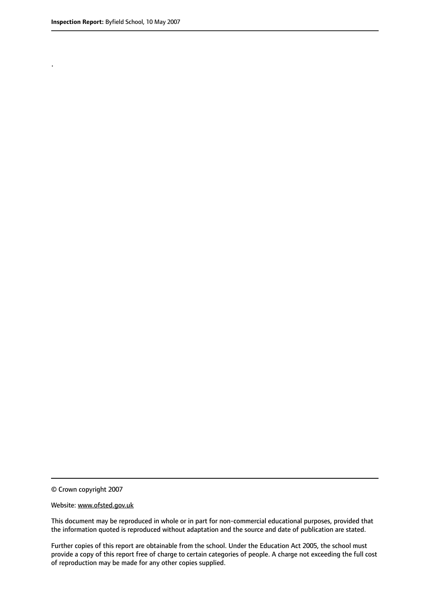.

© Crown copyright 2007

#### Website: www.ofsted.gov.uk

This document may be reproduced in whole or in part for non-commercial educational purposes, provided that the information quoted is reproduced without adaptation and the source and date of publication are stated.

Further copies of this report are obtainable from the school. Under the Education Act 2005, the school must provide a copy of this report free of charge to certain categories of people. A charge not exceeding the full cost of reproduction may be made for any other copies supplied.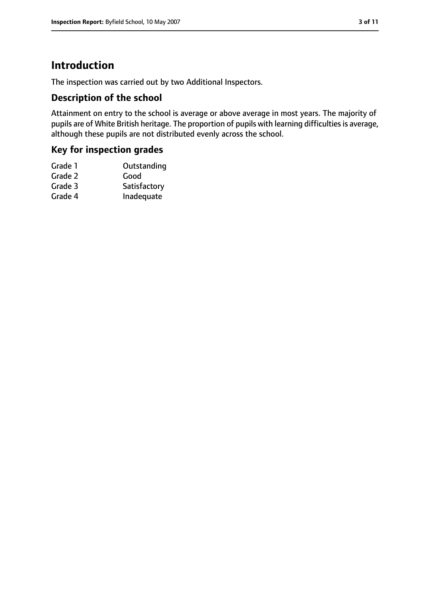# **Introduction**

The inspection was carried out by two Additional Inspectors.

## **Description of the school**

Attainment on entry to the school is average or above average in most years. The majority of pupils are of White British heritage. The proportion of pupils with learning difficulties is average, although these pupils are not distributed evenly across the school.

# **Key for inspection grades**

| Grade 1 | Outstanding  |
|---------|--------------|
| Grade 2 | Good         |
| Grade 3 | Satisfactory |
| Grade 4 | Inadequate   |
|         |              |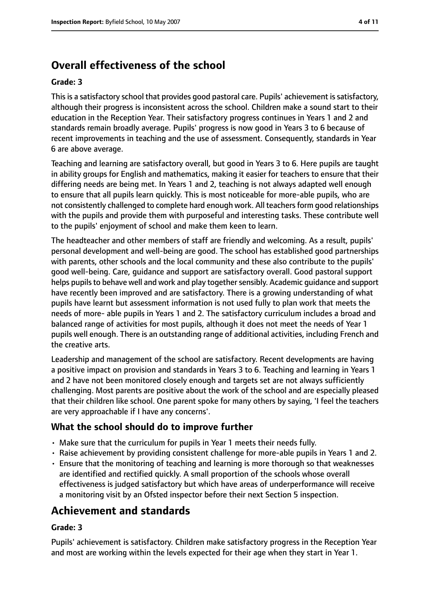# **Overall effectiveness of the school**

#### **Grade: 3**

This is a satisfactory school that provides good pastoral care. Pupils' achievement is satisfactory, although their progress is inconsistent across the school. Children make a sound start to their education in the Reception Year. Their satisfactory progress continues in Years 1 and 2 and standards remain broadly average. Pupils' progress is now good in Years 3 to 6 because of recent improvements in teaching and the use of assessment. Consequently, standards in Year 6 are above average.

Teaching and learning are satisfactory overall, but good in Years 3 to 6. Here pupils are taught in ability groups for English and mathematics, making it easier for teachers to ensure that their differing needs are being met. In Years 1 and 2, teaching is not always adapted well enough to ensure that all pupils learn quickly. This is most noticeable for more-able pupils, who are not consistently challenged to complete hard enough work. All teachers form good relationships with the pupils and provide them with purposeful and interesting tasks. These contribute well to the pupils' enjoyment of school and make them keen to learn.

The headteacher and other members of staff are friendly and welcoming. As a result, pupils' personal development and well-being are good. The school has established good partnerships with parents, other schools and the local community and these also contribute to the pupils' good well-being. Care, guidance and support are satisfactory overall. Good pastoral support helps pupils to behave well and work and play together sensibly. Academic guidance and support have recently been improved and are satisfactory. There is a growing understanding of what pupils have learnt but assessment information is not used fully to plan work that meets the needs of more- able pupils in Years 1 and 2. The satisfactory curriculum includes a broad and balanced range of activities for most pupils, although it does not meet the needs of Year 1 pupils well enough. There is an outstanding range of additional activities, including French and the creative arts.

Leadership and management of the school are satisfactory. Recent developments are having a positive impact on provision and standards in Years 3 to 6. Teaching and learning in Years 1 and 2 have not been monitored closely enough and targets set are not always sufficiently challenging. Most parents are positive about the work of the school and are especially pleased that their children like school. One parent spoke for many others by saying, 'I feel the teachers are very approachable if I have any concerns'.

## **What the school should do to improve further**

- Make sure that the curriculum for pupils in Year 1 meets their needs fully.
- Raise achievement by providing consistent challenge for more-able pupils in Years 1 and 2.
- Ensure that the monitoring of teaching and learning is more thorough so that weaknesses are identified and rectified quickly. A small proportion of the schools whose overall effectiveness is judged satisfactory but which have areas of underperformance will receive a monitoring visit by an Ofsted inspector before their next Section 5 inspection.

# **Achievement and standards**

#### **Grade: 3**

Pupils' achievement is satisfactory. Children make satisfactory progress in the Reception Year and most are working within the levels expected for their age when they start in Year 1.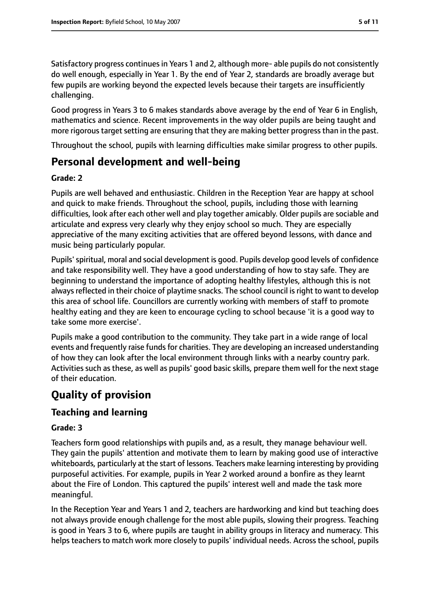Satisfactory progress continues in Years 1 and 2, although more- able pupils do not consistently do well enough, especially in Year 1. By the end of Year 2, standards are broadly average but few pupils are working beyond the expected levels because their targets are insufficiently challenging.

Good progress in Years 3 to 6 makes standards above average by the end of Year 6 in English, mathematics and science. Recent improvements in the way older pupils are being taught and more rigorous target setting are ensuring that they are making better progress than in the past.

Throughout the school, pupils with learning difficulties make similar progress to other pupils.

# **Personal development and well-being**

## **Grade: 2**

Pupils are well behaved and enthusiastic. Children in the Reception Year are happy at school and quick to make friends. Throughout the school, pupils, including those with learning difficulties, look after each other well and play together amicably. Older pupils are sociable and articulate and express very clearly why they enjoy school so much. They are especially appreciative of the many exciting activities that are offered beyond lessons, with dance and music being particularly popular.

Pupils'spiritual, moral and social development is good. Pupils develop good levels of confidence and take responsibility well. They have a good understanding of how to stay safe. They are beginning to understand the importance of adopting healthy lifestyles, although this is not always reflected in their choice of playtime snacks. The school council is right to want to develop this area of school life. Councillors are currently working with members of staff to promote healthy eating and they are keen to encourage cycling to school because 'it is a good way to take some more exercise'.

Pupils make a good contribution to the community. They take part in a wide range of local events and frequently raise funds for charities. They are developing an increased understanding of how they can look after the local environment through links with a nearby country park. Activities such as these, as well as pupils' good basic skills, prepare them well for the next stage of their education.

# **Quality of provision**

# **Teaching and learning**

## **Grade: 3**

Teachers form good relationships with pupils and, as a result, they manage behaviour well. They gain the pupils' attention and motivate them to learn by making good use of interactive whiteboards, particularly at the start of lessons. Teachers make learning interesting by providing purposeful activities. For example, pupils in Year 2 worked around a bonfire as they learnt about the Fire of London. This captured the pupils' interest well and made the task more meaningful.

In the Reception Year and Years 1 and 2, teachers are hardworking and kind but teaching does not always provide enough challenge for the most able pupils, slowing their progress. Teaching is good in Years 3 to 6, where pupils are taught in ability groups in literacy and numeracy. This helps teachers to match work more closely to pupils' individual needs. Across the school, pupils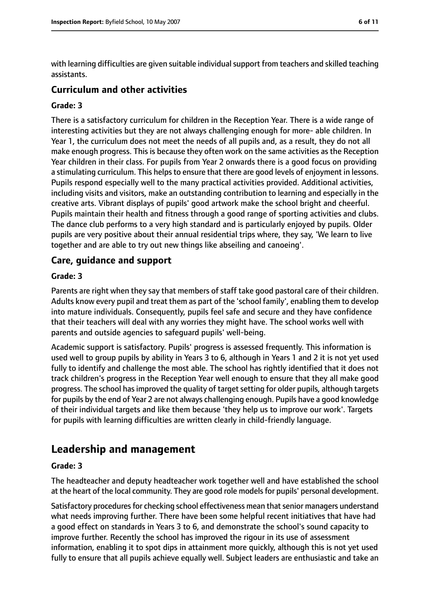with learning difficulties are given suitable individual support from teachers and skilled teaching assistants.

## **Curriculum and other activities**

#### **Grade: 3**

There is a satisfactory curriculum for children in the Reception Year. There is a wide range of interesting activities but they are not always challenging enough for more- able children. In Year 1, the curriculum does not meet the needs of all pupils and, as a result, they do not all make enough progress. This is because they often work on the same activities as the Reception Year children in their class. For pupils from Year 2 onwards there is a good focus on providing a stimulating curriculum. This helps to ensure that there are good levels of enjoyment in lessons. Pupils respond especially well to the many practical activities provided. Additional activities, including visits and visitors, make an outstanding contribution to learning and especially in the creative arts. Vibrant displays of pupils' good artwork make the school bright and cheerful. Pupils maintain their health and fitness through a good range of sporting activities and clubs. The dance club performs to a very high standard and is particularly enjoyed by pupils. Older pupils are very positive about their annual residential trips where, they say, 'We learn to live together and are able to try out new things like abseiling and canoeing'.

### **Care, guidance and support**

#### **Grade: 3**

Parents are right when they say that members of staff take good pastoral care of their children. Adults know every pupil and treat them as part of the 'school family', enabling them to develop into mature individuals. Consequently, pupils feel safe and secure and they have confidence that their teachers will deal with any worries they might have. The school works well with parents and outside agencies to safeguard pupils' well-being.

Academic support is satisfactory. Pupils' progress is assessed frequently. This information is used well to group pupils by ability in Years 3 to 6, although in Years 1 and 2 it is not yet used fully to identify and challenge the most able. The school has rightly identified that it does not track children's progress in the Reception Year well enough to ensure that they all make good progress. The school has improved the quality of target setting for older pupils, although targets for pupils by the end of Year 2 are not always challenging enough. Pupils have a good knowledge of their individual targets and like them because 'they help us to improve our work'. Targets for pupils with learning difficulties are written clearly in child-friendly language.

# **Leadership and management**

#### **Grade: 3**

The headteacher and deputy headteacher work together well and have established the school at the heart of the local community. They are good role models for pupils' personal development.

Satisfactory procedures for checking school effectiveness mean that senior managers understand what needs improving further. There have been some helpful recent initiatives that have had a good effect on standards in Years 3 to 6, and demonstrate the school's sound capacity to improve further. Recently the school has improved the rigour in its use of assessment information, enabling it to spot dips in attainment more quickly, although this is not yet used fully to ensure that all pupils achieve equally well. Subject leaders are enthusiastic and take an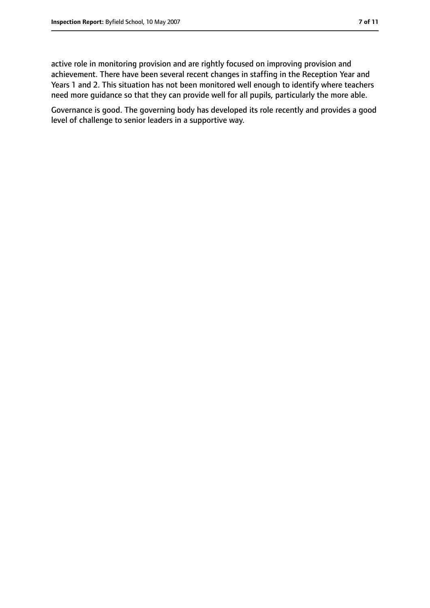active role in monitoring provision and are rightly focused on improving provision and achievement. There have been several recent changes in staffing in the Reception Year and Years 1 and 2. This situation has not been monitored well enough to identify where teachers need more guidance so that they can provide well for all pupils, particularly the more able.

Governance is good. The governing body has developed its role recently and provides a good level of challenge to senior leaders in a supportive way.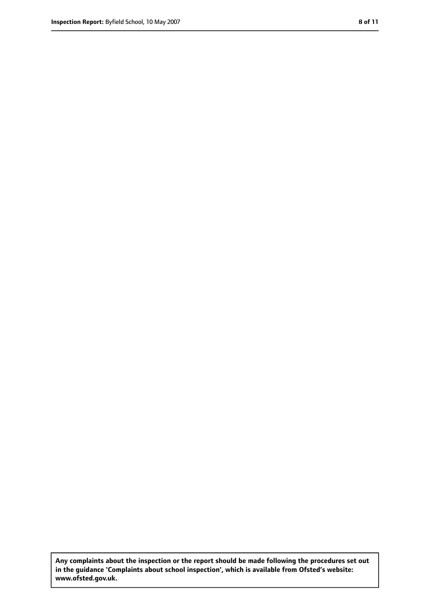**Any complaints about the inspection or the report should be made following the procedures set out in the guidance 'Complaints about school inspection', which is available from Ofsted's website: www.ofsted.gov.uk.**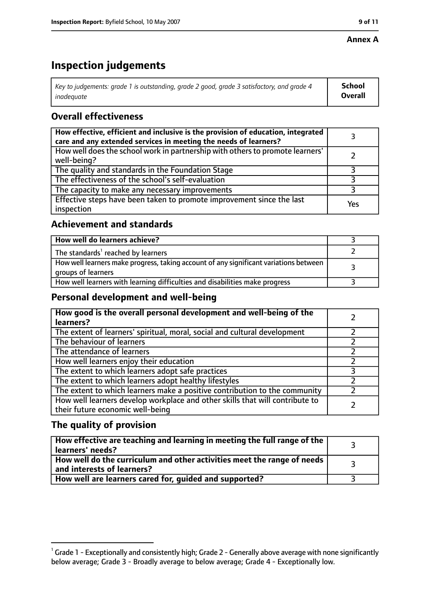#### **Annex A**

# **Inspection judgements**

| Key to judgements: grade 1 is outstanding, grade 2 good, grade 3 satisfactory, and grade 4 | <b>School</b>  |
|--------------------------------------------------------------------------------------------|----------------|
| inadeauate                                                                                 | <b>Overall</b> |

# **Overall effectiveness**

| How effective, efficient and inclusive is the provision of education, integrated<br>care and any extended services in meeting the needs of learners? |     |
|------------------------------------------------------------------------------------------------------------------------------------------------------|-----|
| How well does the school work in partnership with others to promote learners'<br>well-being?                                                         |     |
| The quality and standards in the Foundation Stage                                                                                                    |     |
| The effectiveness of the school's self-evaluation                                                                                                    |     |
| The capacity to make any necessary improvements                                                                                                      |     |
| Effective steps have been taken to promote improvement since the last<br>inspection                                                                  | Yes |

# **Achievement and standards**

| How well do learners achieve?                                                                               |  |
|-------------------------------------------------------------------------------------------------------------|--|
| The standards <sup>1</sup> reached by learners                                                              |  |
| How well learners make progress, taking account of any significant variations between<br>groups of learners |  |
| How well learners with learning difficulties and disabilities make progress                                 |  |

# **Personal development and well-being**

| How good is the overall personal development and well-being of the<br>learners?                                  |  |
|------------------------------------------------------------------------------------------------------------------|--|
| The extent of learners' spiritual, moral, social and cultural development                                        |  |
| The behaviour of learners                                                                                        |  |
| The attendance of learners                                                                                       |  |
| How well learners enjoy their education                                                                          |  |
| The extent to which learners adopt safe practices                                                                |  |
| The extent to which learners adopt healthy lifestyles                                                            |  |
| The extent to which learners make a positive contribution to the community                                       |  |
| How well learners develop workplace and other skills that will contribute to<br>their future economic well-being |  |

# **The quality of provision**

| How effective are teaching and learning in meeting the full range of the<br>learners' needs?          |  |
|-------------------------------------------------------------------------------------------------------|--|
| How well do the curriculum and other activities meet the range of needs<br>and interests of learners? |  |
| How well are learners cared for, guided and supported?                                                |  |

 $^1$  Grade 1 - Exceptionally and consistently high; Grade 2 - Generally above average with none significantly below average; Grade 3 - Broadly average to below average; Grade 4 - Exceptionally low.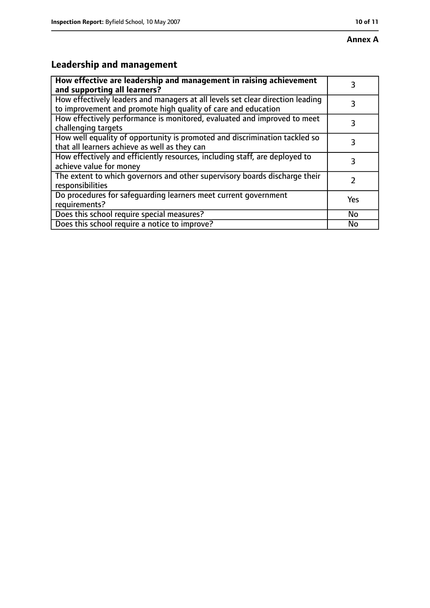# **Leadership and management**

| How effective are leadership and management in raising achievement<br>and supporting all learners?                                              | 3             |
|-------------------------------------------------------------------------------------------------------------------------------------------------|---------------|
| How effectively leaders and managers at all levels set clear direction leading<br>to improvement and promote high quality of care and education |               |
| How effectively performance is monitored, evaluated and improved to meet<br>challenging targets                                                 | 3             |
| How well equality of opportunity is promoted and discrimination tackled so<br>that all learners achieve as well as they can                     | 3             |
| How effectively and efficiently resources, including staff, are deployed to<br>achieve value for money                                          | 3             |
| The extent to which governors and other supervisory boards discharge their<br>responsibilities                                                  | $\mathcal{L}$ |
| Do procedures for safequarding learners meet current government<br>requirements?                                                                | Yes           |
| Does this school require special measures?                                                                                                      | No            |
| Does this school require a notice to improve?                                                                                                   | No            |